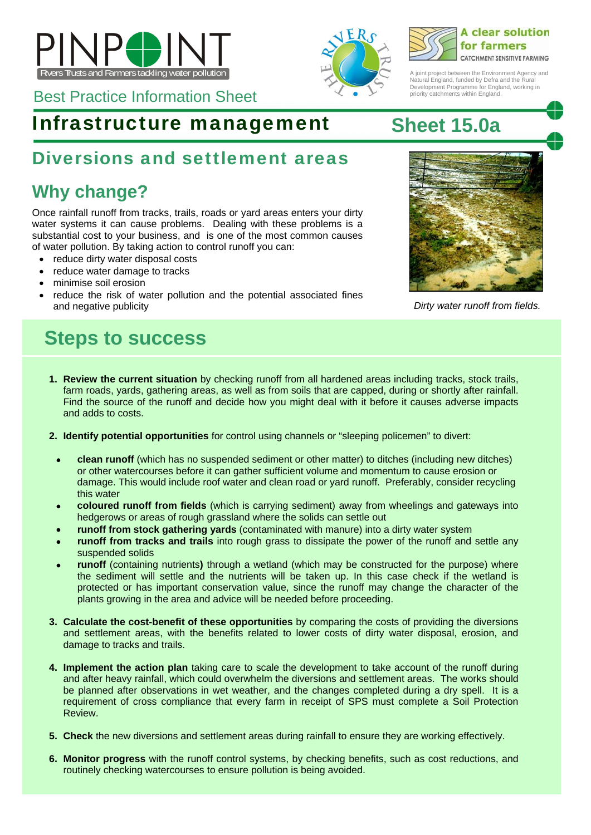







A joint project between the Environment Agency and Natural England, funded by Defra and the Rural Development Programme for England, working in priority catchments within England.

## Infrastructure management **Sheet 15.0a**

## Diversions and settlement areas

# **Why change?**

Once rainfall runoff from tracks, trails, roads or yard areas enters your dirty water systems it can cause problems. Dealing with these problems is a substantial cost to your business, and is one of the most common causes of water pollution. By taking action to control runoff you can:

- reduce dirty water disposal costs
- reduce water damage to tracks
- minimise soil erosion
- reduce the risk of water pollution and the potential associated fines and negative publicity *Dirty water runoff from fields.*

# **Steps to success**

- **1. Review the current situation** by checking runoff from all hardened areas including tracks, stock trails, farm roads, yards, gathering areas, as well as from soils that are capped, during or shortly after rainfall. Find the source of the runoff and decide how you might deal with it before it causes adverse impacts and adds to costs.
- **2. Identify potential opportunities** for control using channels or "sleeping policemen" to divert:
- **clean runoff** (which has no suspended sediment or other matter) to ditches (including new ditches) or other watercourses before it can gather sufficient volume and momentum to cause erosion or damage. This would include roof water and clean road or yard runoff. Preferably, consider recycling this water
- **coloured runoff from fields** (which is carrying sediment) away from wheelings and gateways into hedgerows or areas of rough grassland where the solids can settle out
- **runoff from stock gathering yards** (contaminated with manure) into a dirty water system
- **runoff from tracks and trails** into rough grass to dissipate the power of the runoff and settle any suspended solids
- **runoff** (containing nutrients**)** through a wetland (which may be constructed for the purpose) where the sediment will settle and the nutrients will be taken up. In this case check if the wetland is protected or has important conservation value, since the runoff may change the character of the plants growing in the area and advice will be needed before proceeding.
- **3. Calculate the cost-benefit of these opportunities** by comparing the costs of providing the diversions and settlement areas, with the benefits related to lower costs of dirty water disposal, erosion, and damage to tracks and trails.
- **4. Implement the action plan** taking care to scale the development to take account of the runoff during and after heavy rainfall, which could overwhelm the diversions and settlement areas. The works should be planned after observations in wet weather, and the changes completed during a dry spell. It is a requirement of cross compliance that every farm in receipt of SPS must complete a Soil Protection Review.
- **5. Check** the new diversions and settlement areas during rainfall to ensure they are working effectively.
- **6. Monitor progress** with the runoff control systems, by checking benefits, such as cost reductions, and routinely checking watercourses to ensure pollution is being avoided.